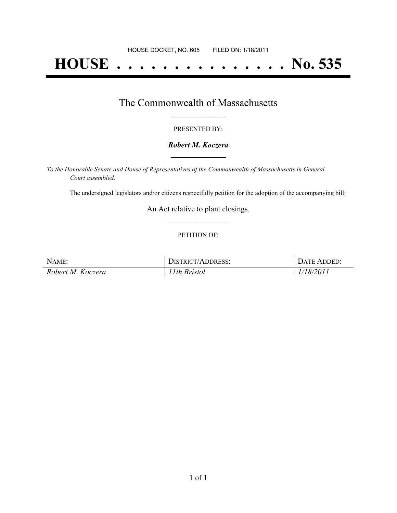# **HOUSE . . . . . . . . . . . . . . . No. 535**

## The Commonwealth of Massachusetts **\_\_\_\_\_\_\_\_\_\_\_\_\_\_\_\_\_**

#### PRESENTED BY:

#### *Robert M. Koczera* **\_\_\_\_\_\_\_\_\_\_\_\_\_\_\_\_\_**

*To the Honorable Senate and House of Representatives of the Commonwealth of Massachusetts in General Court assembled:*

The undersigned legislators and/or citizens respectfully petition for the adoption of the accompanying bill:

An Act relative to plant closings. **\_\_\_\_\_\_\_\_\_\_\_\_\_\_\_**

#### PETITION OF:

| NAME:             | DISTRICT/ADDRESS: | DATE ADDED: |
|-------------------|-------------------|-------------|
| Robert M. Koczera | 11th Bristol      | 1/18/2011   |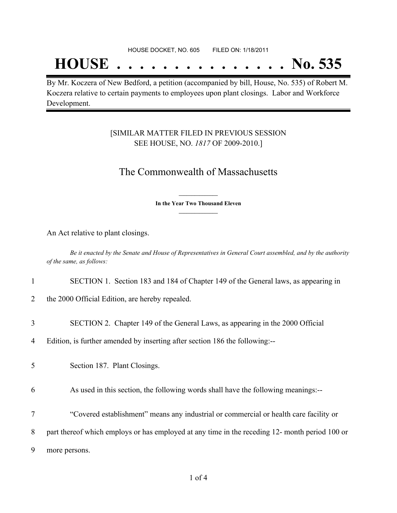## **HOUSE . . . . . . . . . . . . . . . No. 535**

By Mr. Koczera of New Bedford, a petition (accompanied by bill, House, No. 535) of Robert M. Koczera relative to certain payments to employees upon plant closings. Labor and Workforce Development.

### [SIMILAR MATTER FILED IN PREVIOUS SESSION SEE HOUSE, NO. *1817* OF 2009-2010.]

## The Commonwealth of Massachusetts

**\_\_\_\_\_\_\_\_\_\_\_\_\_\_\_ In the Year Two Thousand Eleven \_\_\_\_\_\_\_\_\_\_\_\_\_\_\_**

An Act relative to plant closings.

Be it enacted by the Senate and House of Representatives in General Court assembled, and by the authority *of the same, as follows:*

|  |  |  |  |  | SECTION 1. Section 183 and 184 of Chapter 149 of the General laws, as appearing in |  |  |
|--|--|--|--|--|------------------------------------------------------------------------------------|--|--|
|--|--|--|--|--|------------------------------------------------------------------------------------|--|--|

- 2 the 2000 Official Edition, are hereby repealed.
- 3 SECTION 2. Chapter 149 of the General Laws, as appearing in the 2000 Official

4 Edition, is further amended by inserting after section 186 the following:--

5 Section 187. Plant Closings.

6 As used in this section, the following words shall have the following meanings:--

7 "Covered establishment" means any industrial or commercial or health care facility or

8 part thereof which employs or has employed at any time in the receding 12- month period 100 or

9 more persons.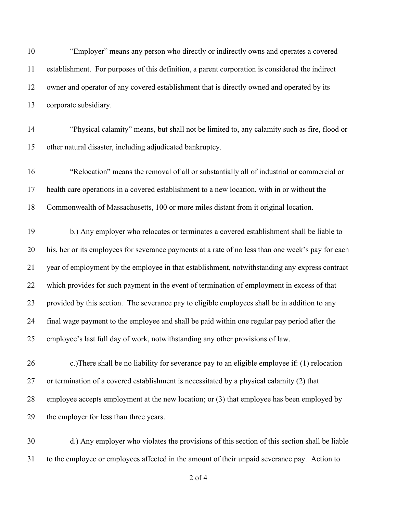"Employer" means any person who directly or indirectly owns and operates a covered establishment. For purposes of this definition, a parent corporation is considered the indirect owner and operator of any covered establishment that is directly owned and operated by its corporate subsidiary.

 "Physical calamity" means, but shall not be limited to, any calamity such as fire, flood or other natural disaster, including adjudicated bankruptcy.

 "Relocation" means the removal of all or substantially all of industrial or commercial or health care operations in a covered establishment to a new location, with in or without the Commonwealth of Massachusetts, 100 or more miles distant from it original location.

 b.) Any employer who relocates or terminates a covered establishment shall be liable to his, her or its employees for severance payments at a rate of no less than one week's pay for each year of employment by the employee in that establishment, notwithstanding any express contract which provides for such payment in the event of termination of employment in excess of that provided by this section. The severance pay to eligible employees shall be in addition to any final wage payment to the employee and shall be paid within one regular pay period after the employee's last full day of work, notwithstanding any other provisions of law.

 c.)There shall be no liability for severance pay to an eligible employee if: (1) relocation or termination of a covered establishment is necessitated by a physical calamity (2) that employee accepts employment at the new location; or (3) that employee has been employed by the employer for less than three years.

 d.) Any employer who violates the provisions of this section of this section shall be liable to the employee or employees affected in the amount of their unpaid severance pay. Action to

of 4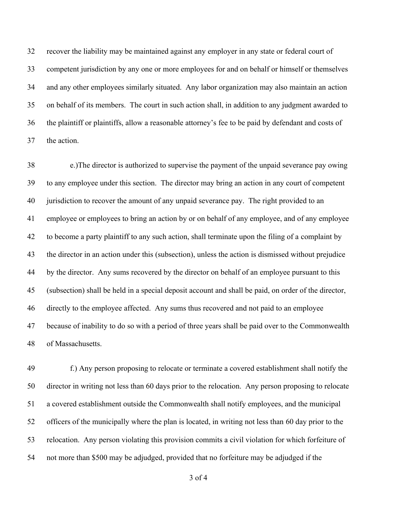recover the liability may be maintained against any employer in any state or federal court of competent jurisdiction by any one or more employees for and on behalf or himself or themselves and any other employees similarly situated. Any labor organization may also maintain an action on behalf of its members. The court in such action shall, in addition to any judgment awarded to the plaintiff or plaintiffs, allow a reasonable attorney's fee to be paid by defendant and costs of the action.

 e.)The director is authorized to supervise the payment of the unpaid severance pay owing to any employee under this section. The director may bring an action in any court of competent jurisdiction to recover the amount of any unpaid severance pay. The right provided to an employee or employees to bring an action by or on behalf of any employee, and of any employee to become a party plaintiff to any such action, shall terminate upon the filing of a complaint by the director in an action under this (subsection), unless the action is dismissed without prejudice by the director. Any sums recovered by the director on behalf of an employee pursuant to this (subsection) shall be held in a special deposit account and shall be paid, on order of the director, directly to the employee affected. Any sums thus recovered and not paid to an employee because of inability to do so with a period of three years shall be paid over to the Commonwealth of Massachusetts.

 f.) Any person proposing to relocate or terminate a covered establishment shall notify the director in writing not less than 60 days prior to the relocation. Any person proposing to relocate a covered establishment outside the Commonwealth shall notify employees, and the municipal officers of the municipally where the plan is located, in writing not less than 60 day prior to the relocation. Any person violating this provision commits a civil violation for which forfeiture of not more than \$500 may be adjudged, provided that no forfeiture may be adjudged if the

of 4